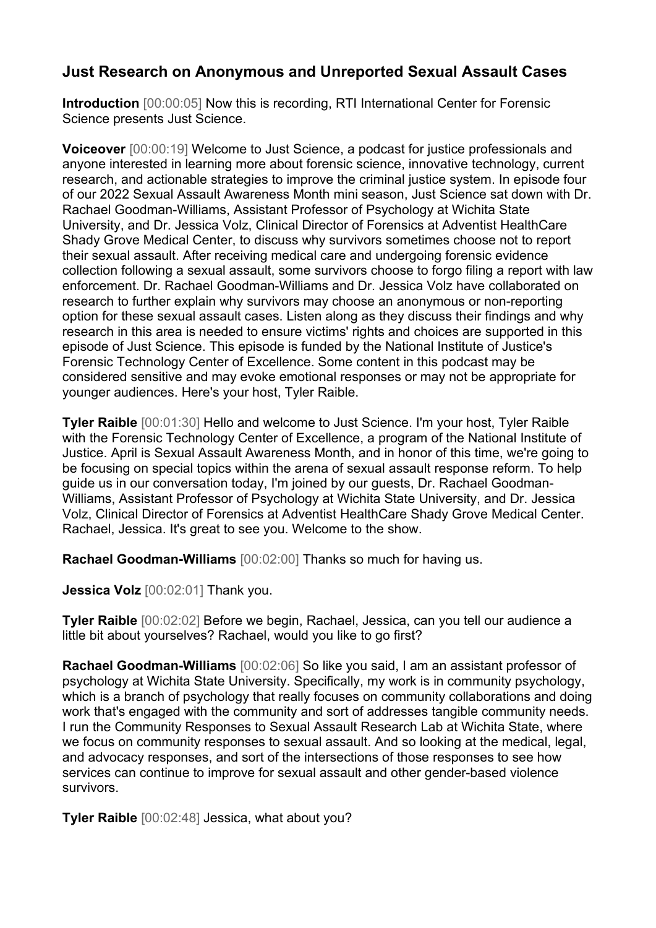## **Just Research on Anonymous and Unreported Sexual Assault Cases**

**Introduction** [00:00:05] Now this is recording, RTI International Center for Forensic Science presents Just Science.

**Voiceover** [00:00:19] Welcome to Just Science, a podcast for justice professionals and anyone interested in learning more about forensic science, innovative technology, current research, and actionable strategies to improve the criminal justice system. In episode four of our 2022 Sexual Assault Awareness Month mini season, Just Science sat down with Dr. Rachael Goodman-Williams, Assistant Professor of Psychology at Wichita State University, and Dr. Jessica Volz, Clinical Director of Forensics at Adventist HealthCare Shady Grove Medical Center, to discuss why survivors sometimes choose not to report their sexual assault. After receiving medical care and undergoing forensic evidence collection following a sexual assault, some survivors choose to forgo filing a report with law enforcement. Dr. Rachael Goodman-Williams and Dr. Jessica Volz have collaborated on research to further explain why survivors may choose an anonymous or non-reporting option for these sexual assault cases. Listen along as they discuss their findings and why research in this area is needed to ensure victims' rights and choices are supported in this episode of Just Science. This episode is funded by the National Institute of Justice's Forensic Technology Center of Excellence. Some content in this podcast may be considered sensitive and may evoke emotional responses or may not be appropriate for younger audiences. Here's your host, Tyler Raible.

**Tyler Raible** [00:01:30] Hello and welcome to Just Science. I'm your host, Tyler Raible with the Forensic Technology Center of Excellence, a program of the National Institute of Justice. April is Sexual Assault Awareness Month, and in honor of this time, we're going to be focusing on special topics within the arena of sexual assault response reform. To help guide us in our conversation today, I'm joined by our guests, Dr. Rachael Goodman-Williams, Assistant Professor of Psychology at Wichita State University, and Dr. Jessica Volz, Clinical Director of Forensics at Adventist HealthCare Shady Grove Medical Center. Rachael, Jessica. It's great to see you. Welcome to the show.

**Rachael Goodman-Williams** [00:02:00] Thanks so much for having us.

**Jessica Volz** [00:02:01] Thank you.

**Tyler Raible** [00:02:02] Before we begin, Rachael, Jessica, can you tell our audience a little bit about yourselves? Rachael, would you like to go first?

**Rachael Goodman-Williams** [00:02:06] So like you said, I am an assistant professor of psychology at Wichita State University. Specifically, my work is in community psychology, which is a branch of psychology that really focuses on community collaborations and doing work that's engaged with the community and sort of addresses tangible community needs. I run the Community Responses to Sexual Assault Research Lab at Wichita State, where we focus on community responses to sexual assault. And so looking at the medical, legal, and advocacy responses, and sort of the intersections of those responses to see how services can continue to improve for sexual assault and other gender-based violence survivors.

**Tyler Raible** [00:02:48] Jessica, what about you?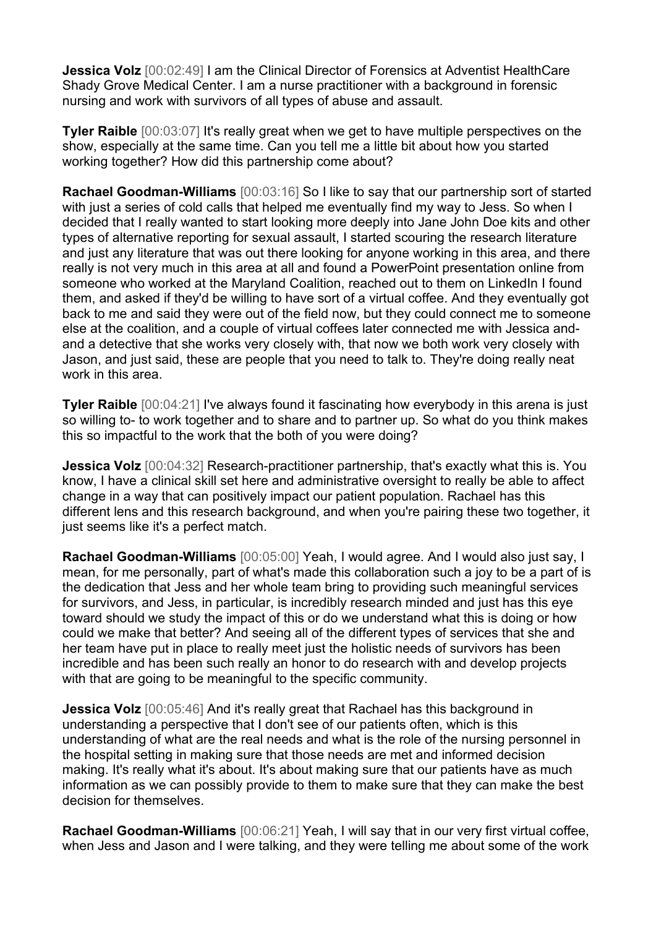**Jessica Volz** [00:02:49] I am the Clinical Director of Forensics at Adventist HealthCare Shady Grove Medical Center. I am a nurse practitioner with a background in forensic nursing and work with survivors of all types of abuse and assault.

**Tyler Raible** [00:03:07] It's really great when we get to have multiple perspectives on the show, especially at the same time. Can you tell me a little bit about how you started working together? How did this partnership come about?

**Rachael Goodman-Williams** [00:03:16] So I like to say that our partnership sort of started with just a series of cold calls that helped me eventually find my way to Jess. So when I decided that I really wanted to start looking more deeply into Jane John Doe kits and other types of alternative reporting for sexual assault, I started scouring the research literature and just any literature that was out there looking for anyone working in this area, and there really is not very much in this area at all and found a PowerPoint presentation online from someone who worked at the Maryland Coalition, reached out to them on LinkedIn I found them, and asked if they'd be willing to have sort of a virtual coffee. And they eventually got back to me and said they were out of the field now, but they could connect me to someone else at the coalition, and a couple of virtual coffees later connected me with Jessica andand a detective that she works very closely with, that now we both work very closely with Jason, and just said, these are people that you need to talk to. They're doing really neat work in this area.

**Tyler Raible** [00:04:21] I've always found it fascinating how everybody in this arena is just so willing to- to work together and to share and to partner up. So what do you think makes this so impactful to the work that the both of you were doing?

**Jessica Volz** [00:04:32] Research-practitioner partnership, that's exactly what this is. You know, I have a clinical skill set here and administrative oversight to really be able to affect change in a way that can positively impact our patient population. Rachael has this different lens and this research background, and when you're pairing these two together, it just seems like it's a perfect match.

**Rachael Goodman-Williams** [00:05:00] Yeah, I would agree. And I would also just say, I mean, for me personally, part of what's made this collaboration such a joy to be a part of is the dedication that Jess and her whole team bring to providing such meaningful services for survivors, and Jess, in particular, is incredibly research minded and just has this eye toward should we study the impact of this or do we understand what this is doing or how could we make that better? And seeing all of the different types of services that she and her team have put in place to really meet just the holistic needs of survivors has been incredible and has been such really an honor to do research with and develop projects with that are going to be meaningful to the specific community.

**Jessica Volz** [00:05:46] And it's really great that Rachael has this background in understanding a perspective that I don't see of our patients often, which is this understanding of what are the real needs and what is the role of the nursing personnel in the hospital setting in making sure that those needs are met and informed decision making. It's really what it's about. It's about making sure that our patients have as much information as we can possibly provide to them to make sure that they can make the best decision for themselves.

**Rachael Goodman-Williams** [00:06:21] Yeah, I will say that in our very first virtual coffee, when Jess and Jason and I were talking, and they were telling me about some of the work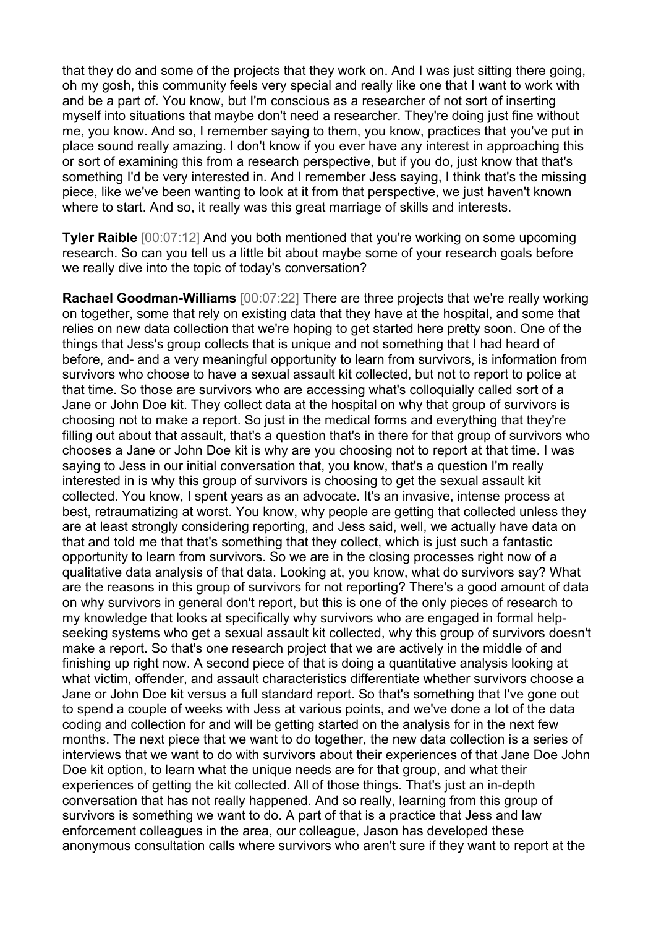that they do and some of the projects that they work on. And I was just sitting there going, oh my gosh, this community feels very special and really like one that I want to work with and be a part of. You know, but I'm conscious as a researcher of not sort of inserting myself into situations that maybe don't need a researcher. They're doing just fine without me, you know. And so, I remember saying to them, you know, practices that you've put in place sound really amazing. I don't know if you ever have any interest in approaching this or sort of examining this from a research perspective, but if you do, just know that that's something I'd be very interested in. And I remember Jess saying, I think that's the missing piece, like we've been wanting to look at it from that perspective, we just haven't known where to start. And so, it really was this great marriage of skills and interests.

**Tyler Raible** [00:07:12] And you both mentioned that you're working on some upcoming research. So can you tell us a little bit about maybe some of your research goals before we really dive into the topic of today's conversation?

**Rachael Goodman-Williams** [00:07:22] There are three projects that we're really working on together, some that rely on existing data that they have at the hospital, and some that relies on new data collection that we're hoping to get started here pretty soon. One of the things that Jess's group collects that is unique and not something that I had heard of before, and- and a very meaningful opportunity to learn from survivors, is information from survivors who choose to have a sexual assault kit collected, but not to report to police at that time. So those are survivors who are accessing what's colloquially called sort of a Jane or John Doe kit. They collect data at the hospital on why that group of survivors is choosing not to make a report. So just in the medical forms and everything that they're filling out about that assault, that's a question that's in there for that group of survivors who chooses a Jane or John Doe kit is why are you choosing not to report at that time. I was saying to Jess in our initial conversation that, you know, that's a question I'm really interested in is why this group of survivors is choosing to get the sexual assault kit collected. You know, I spent years as an advocate. It's an invasive, intense process at best, retraumatizing at worst. You know, why people are getting that collected unless they are at least strongly considering reporting, and Jess said, well, we actually have data on that and told me that that's something that they collect, which is just such a fantastic opportunity to learn from survivors. So we are in the closing processes right now of a qualitative data analysis of that data. Looking at, you know, what do survivors say? What are the reasons in this group of survivors for not reporting? There's a good amount of data on why survivors in general don't report, but this is one of the only pieces of research to my knowledge that looks at specifically why survivors who are engaged in formal helpseeking systems who get a sexual assault kit collected, why this group of survivors doesn't make a report. So that's one research project that we are actively in the middle of and finishing up right now. A second piece of that is doing a quantitative analysis looking at what victim, offender, and assault characteristics differentiate whether survivors choose a Jane or John Doe kit versus a full standard report. So that's something that I've gone out to spend a couple of weeks with Jess at various points, and we've done a lot of the data coding and collection for and will be getting started on the analysis for in the next few months. The next piece that we want to do together, the new data collection is a series of interviews that we want to do with survivors about their experiences of that Jane Doe John Doe kit option, to learn what the unique needs are for that group, and what their experiences of getting the kit collected. All of those things. That's just an in-depth conversation that has not really happened. And so really, learning from this group of survivors is something we want to do. A part of that is a practice that Jess and law enforcement colleagues in the area, our colleague, Jason has developed these anonymous consultation calls where survivors who aren't sure if they want to report at the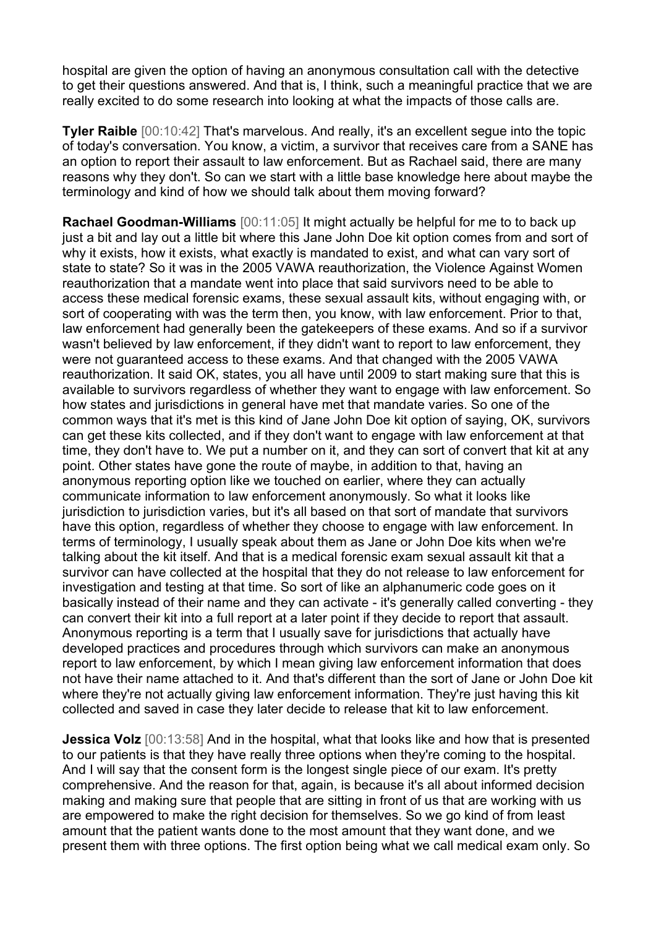hospital are given the option of having an anonymous consultation call with the detective to get their questions answered. And that is, I think, such a meaningful practice that we are really excited to do some research into looking at what the impacts of those calls are.

**Tyler Raible** [00:10:42] That's marvelous. And really, it's an excellent segue into the topic of today's conversation. You know, a victim, a survivor that receives care from a SANE has an option to report their assault to law enforcement. But as Rachael said, there are many reasons why they don't. So can we start with a little base knowledge here about maybe the terminology and kind of how we should talk about them moving forward?

**Rachael Goodman-Williams** [00:11:05] It might actually be helpful for me to to back up just a bit and lay out a little bit where this Jane John Doe kit option comes from and sort of why it exists, how it exists, what exactly is mandated to exist, and what can vary sort of state to state? So it was in the 2005 VAWA reauthorization, the Violence Against Women reauthorization that a mandate went into place that said survivors need to be able to access these medical forensic exams, these sexual assault kits, without engaging with, or sort of cooperating with was the term then, you know, with law enforcement. Prior to that, law enforcement had generally been the gatekeepers of these exams. And so if a survivor wasn't believed by law enforcement, if they didn't want to report to law enforcement, they were not guaranteed access to these exams. And that changed with the 2005 VAWA reauthorization. It said OK, states, you all have until 2009 to start making sure that this is available to survivors regardless of whether they want to engage with law enforcement. So how states and jurisdictions in general have met that mandate varies. So one of the common ways that it's met is this kind of Jane John Doe kit option of saying, OK, survivors can get these kits collected, and if they don't want to engage with law enforcement at that time, they don't have to. We put a number on it, and they can sort of convert that kit at any point. Other states have gone the route of maybe, in addition to that, having an anonymous reporting option like we touched on earlier, where they can actually communicate information to law enforcement anonymously. So what it looks like jurisdiction to jurisdiction varies, but it's all based on that sort of mandate that survivors have this option, regardless of whether they choose to engage with law enforcement. In terms of terminology, I usually speak about them as Jane or John Doe kits when we're talking about the kit itself. And that is a medical forensic exam sexual assault kit that a survivor can have collected at the hospital that they do not release to law enforcement for investigation and testing at that time. So sort of like an alphanumeric code goes on it basically instead of their name and they can activate - it's generally called converting - they can convert their kit into a full report at a later point if they decide to report that assault. Anonymous reporting is a term that I usually save for jurisdictions that actually have developed practices and procedures through which survivors can make an anonymous report to law enforcement, by which I mean giving law enforcement information that does not have their name attached to it. And that's different than the sort of Jane or John Doe kit where they're not actually giving law enforcement information. They're just having this kit collected and saved in case they later decide to release that kit to law enforcement.

**Jessica Volz** [00:13:58] And in the hospital, what that looks like and how that is presented to our patients is that they have really three options when they're coming to the hospital. And I will say that the consent form is the longest single piece of our exam. It's pretty comprehensive. And the reason for that, again, is because it's all about informed decision making and making sure that people that are sitting in front of us that are working with us are empowered to make the right decision for themselves. So we go kind of from least amount that the patient wants done to the most amount that they want done, and we present them with three options. The first option being what we call medical exam only. So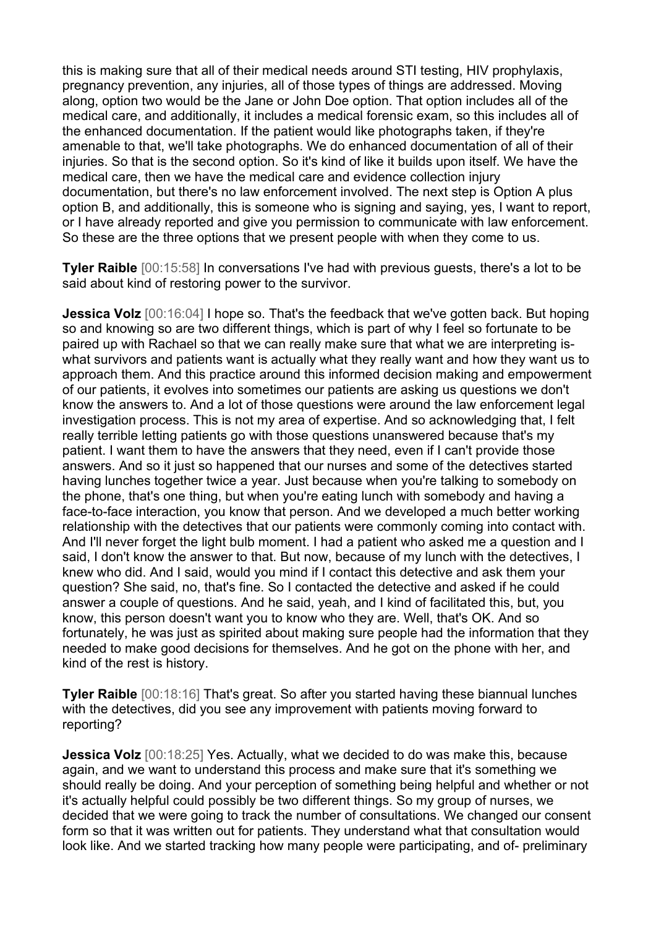this is making sure that all of their medical needs around STI testing, HIV prophylaxis, pregnancy prevention, any injuries, all of those types of things are addressed. Moving along, option two would be the Jane or John Doe option. That option includes all of the medical care, and additionally, it includes a medical forensic exam, so this includes all of the enhanced documentation. If the patient would like photographs taken, if they're amenable to that, we'll take photographs. We do enhanced documentation of all of their injuries. So that is the second option. So it's kind of like it builds upon itself. We have the medical care, then we have the medical care and evidence collection injury documentation, but there's no law enforcement involved. The next step is Option A plus option B, and additionally, this is someone who is signing and saying, yes, I want to report, or I have already reported and give you permission to communicate with law enforcement. So these are the three options that we present people with when they come to us.

**Tyler Raible** [00:15:58] In conversations I've had with previous guests, there's a lot to be said about kind of restoring power to the survivor.

**Jessica Volz** [00:16:04] I hope so. That's the feedback that we've gotten back. But hoping so and knowing so are two different things, which is part of why I feel so fortunate to be paired up with Rachael so that we can really make sure that what we are interpreting iswhat survivors and patients want is actually what they really want and how they want us to approach them. And this practice around this informed decision making and empowerment of our patients, it evolves into sometimes our patients are asking us questions we don't know the answers to. And a lot of those questions were around the law enforcement legal investigation process. This is not my area of expertise. And so acknowledging that, I felt really terrible letting patients go with those questions unanswered because that's my patient. I want them to have the answers that they need, even if I can't provide those answers. And so it just so happened that our nurses and some of the detectives started having lunches together twice a year. Just because when you're talking to somebody on the phone, that's one thing, but when you're eating lunch with somebody and having a face-to-face interaction, you know that person. And we developed a much better working relationship with the detectives that our patients were commonly coming into contact with. And I'll never forget the light bulb moment. I had a patient who asked me a question and I said, I don't know the answer to that. But now, because of my lunch with the detectives, I knew who did. And I said, would you mind if I contact this detective and ask them your question? She said, no, that's fine. So I contacted the detective and asked if he could answer a couple of questions. And he said, yeah, and I kind of facilitated this, but, you know, this person doesn't want you to know who they are. Well, that's OK. And so fortunately, he was just as spirited about making sure people had the information that they needed to make good decisions for themselves. And he got on the phone with her, and kind of the rest is history.

**Tyler Raible**  $[00:18:16]$  That's great. So after you started having these biannual lunches with the detectives, did you see any improvement with patients moving forward to reporting?

**Jessica Volz** [00:18:25] Yes. Actually, what we decided to do was make this, because again, and we want to understand this process and make sure that it's something we should really be doing. And your perception of something being helpful and whether or not it's actually helpful could possibly be two different things. So my group of nurses, we decided that we were going to track the number of consultations. We changed our consent form so that it was written out for patients. They understand what that consultation would look like. And we started tracking how many people were participating, and of- preliminary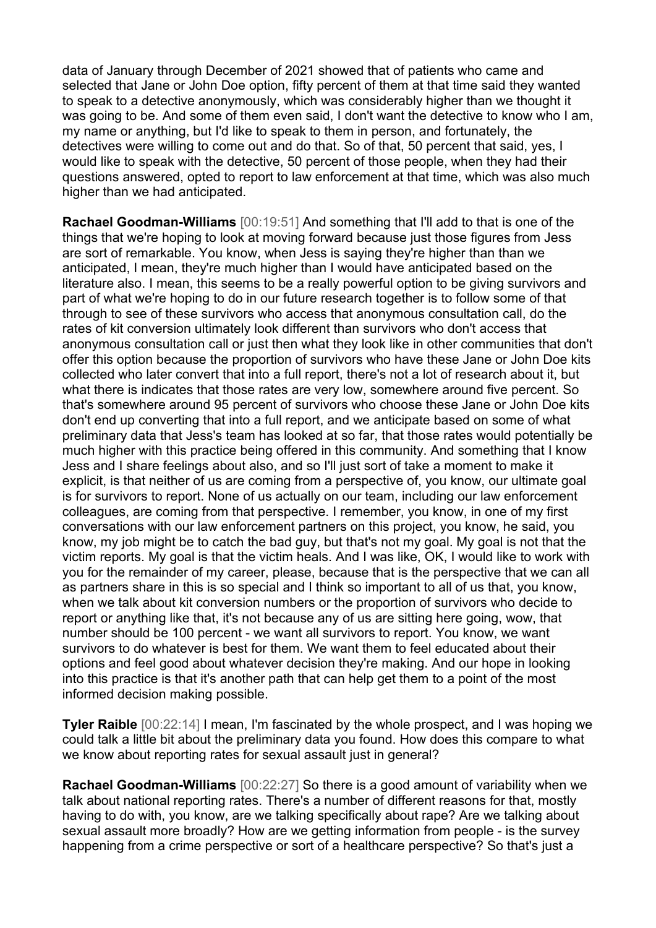data of January through December of 2021 showed that of patients who came and selected that Jane or John Doe option, fifty percent of them at that time said they wanted to speak to a detective anonymously, which was considerably higher than we thought it was going to be. And some of them even said, I don't want the detective to know who I am, my name or anything, but I'd like to speak to them in person, and fortunately, the detectives were willing to come out and do that. So of that, 50 percent that said, yes, I would like to speak with the detective, 50 percent of those people, when they had their questions answered, opted to report to law enforcement at that time, which was also much higher than we had anticipated.

**Rachael Goodman-Williams** [00:19:51] And something that I'll add to that is one of the things that we're hoping to look at moving forward because just those figures from Jess are sort of remarkable. You know, when Jess is saying they're higher than than we anticipated, I mean, they're much higher than I would have anticipated based on the literature also. I mean, this seems to be a really powerful option to be giving survivors and part of what we're hoping to do in our future research together is to follow some of that through to see of these survivors who access that anonymous consultation call, do the rates of kit conversion ultimately look different than survivors who don't access that anonymous consultation call or just then what they look like in other communities that don't offer this option because the proportion of survivors who have these Jane or John Doe kits collected who later convert that into a full report, there's not a lot of research about it, but what there is indicates that those rates are very low, somewhere around five percent. So that's somewhere around 95 percent of survivors who choose these Jane or John Doe kits don't end up converting that into a full report, and we anticipate based on some of what preliminary data that Jess's team has looked at so far, that those rates would potentially be much higher with this practice being offered in this community. And something that I know Jess and I share feelings about also, and so I'll just sort of take a moment to make it explicit, is that neither of us are coming from a perspective of, you know, our ultimate goal is for survivors to report. None of us actually on our team, including our law enforcement colleagues, are coming from that perspective. I remember, you know, in one of my first conversations with our law enforcement partners on this project, you know, he said, you know, my job might be to catch the bad guy, but that's not my goal. My goal is not that the victim reports. My goal is that the victim heals. And I was like, OK, I would like to work with you for the remainder of my career, please, because that is the perspective that we can all as partners share in this is so special and I think so important to all of us that, you know, when we talk about kit conversion numbers or the proportion of survivors who decide to report or anything like that, it's not because any of us are sitting here going, wow, that number should be 100 percent - we want all survivors to report. You know, we want survivors to do whatever is best for them. We want them to feel educated about their options and feel good about whatever decision they're making. And our hope in looking into this practice is that it's another path that can help get them to a point of the most informed decision making possible.

**Tyler Raible** [00:22:14] I mean, I'm fascinated by the whole prospect, and I was hoping we could talk a little bit about the preliminary data you found. How does this compare to what we know about reporting rates for sexual assault just in general?

**Rachael Goodman-Williams** [00:22:27] So there is a good amount of variability when we talk about national reporting rates. There's a number of different reasons for that, mostly having to do with, you know, are we talking specifically about rape? Are we talking about sexual assault more broadly? How are we getting information from people - is the survey happening from a crime perspective or sort of a healthcare perspective? So that's just a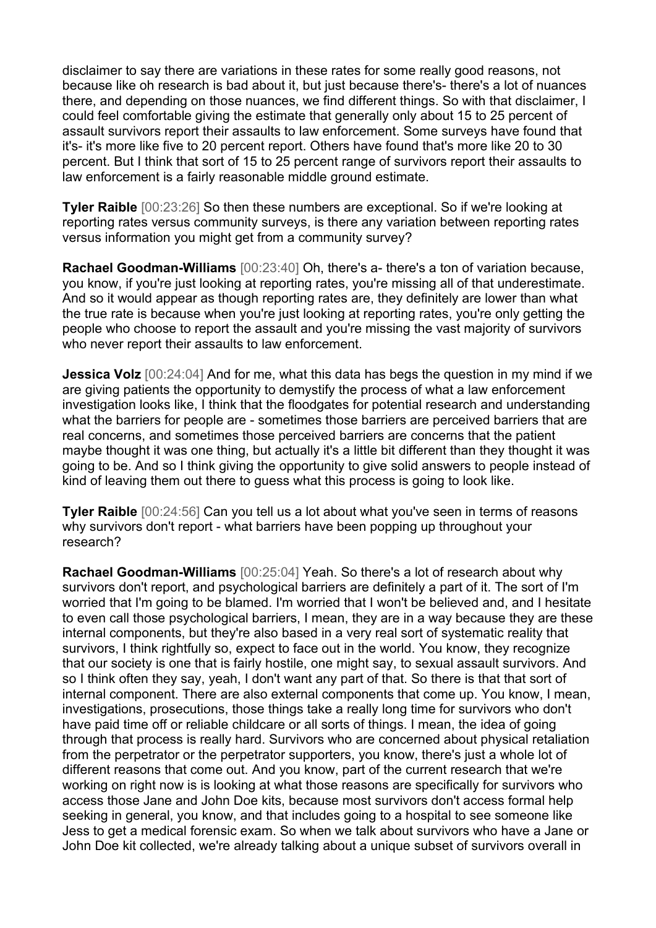disclaimer to say there are variations in these rates for some really good reasons, not because like oh research is bad about it, but just because there's- there's a lot of nuances there, and depending on those nuances, we find different things. So with that disclaimer, I could feel comfortable giving the estimate that generally only about 15 to 25 percent of assault survivors report their assaults to law enforcement. Some surveys have found that it's- it's more like five to 20 percent report. Others have found that's more like 20 to 30 percent. But I think that sort of 15 to 25 percent range of survivors report their assaults to law enforcement is a fairly reasonable middle ground estimate.

**Tyler Raible** [00:23:26] So then these numbers are exceptional. So if we're looking at reporting rates versus community surveys, is there any variation between reporting rates versus information you might get from a community survey?

**Rachael Goodman-Williams** [00:23:40] Oh, there's a- there's a ton of variation because, you know, if you're just looking at reporting rates, you're missing all of that underestimate. And so it would appear as though reporting rates are, they definitely are lower than what the true rate is because when you're just looking at reporting rates, you're only getting the people who choose to report the assault and you're missing the vast majority of survivors who never report their assaults to law enforcement.

**Jessica Volz** [00:24:04] And for me, what this data has begs the question in my mind if we are giving patients the opportunity to demystify the process of what a law enforcement investigation looks like, I think that the floodgates for potential research and understanding what the barriers for people are - sometimes those barriers are perceived barriers that are real concerns, and sometimes those perceived barriers are concerns that the patient maybe thought it was one thing, but actually it's a little bit different than they thought it was going to be. And so I think giving the opportunity to give solid answers to people instead of kind of leaving them out there to guess what this process is going to look like.

**Tyler Raible** [00:24:56] Can you tell us a lot about what you've seen in terms of reasons why survivors don't report - what barriers have been popping up throughout your research?

**Rachael Goodman-Williams** [00:25:04] Yeah. So there's a lot of research about why survivors don't report, and psychological barriers are definitely a part of it. The sort of I'm worried that I'm going to be blamed. I'm worried that I won't be believed and, and I hesitate to even call those psychological barriers, I mean, they are in a way because they are these internal components, but they're also based in a very real sort of systematic reality that survivors, I think rightfully so, expect to face out in the world. You know, they recognize that our society is one that is fairly hostile, one might say, to sexual assault survivors. And so I think often they say, yeah, I don't want any part of that. So there is that that sort of internal component. There are also external components that come up. You know, I mean, investigations, prosecutions, those things take a really long time for survivors who don't have paid time off or reliable childcare or all sorts of things. I mean, the idea of going through that process is really hard. Survivors who are concerned about physical retaliation from the perpetrator or the perpetrator supporters, you know, there's just a whole lot of different reasons that come out. And you know, part of the current research that we're working on right now is is looking at what those reasons are specifically for survivors who access those Jane and John Doe kits, because most survivors don't access formal help seeking in general, you know, and that includes going to a hospital to see someone like Jess to get a medical forensic exam. So when we talk about survivors who have a Jane or John Doe kit collected, we're already talking about a unique subset of survivors overall in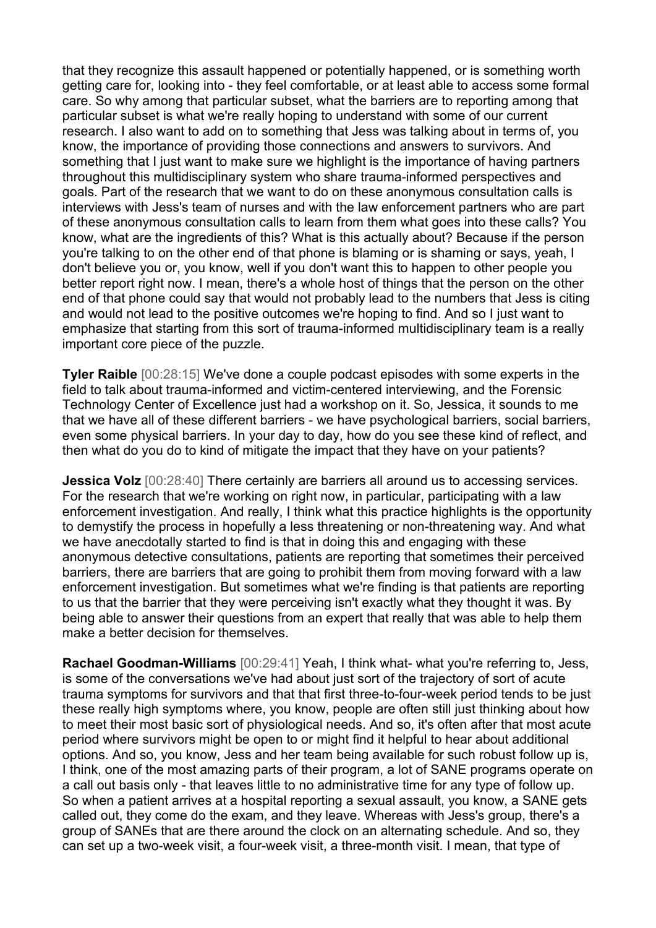that they recognize this assault happened or potentially happened, or is something worth getting care for, looking into - they feel comfortable, or at least able to access some formal care. So why among that particular subset, what the barriers are to reporting among that particular subset is what we're really hoping to understand with some of our current research. I also want to add on to something that Jess was talking about in terms of, you know, the importance of providing those connections and answers to survivors. And something that I just want to make sure we highlight is the importance of having partners throughout this multidisciplinary system who share trauma-informed perspectives and goals. Part of the research that we want to do on these anonymous consultation calls is interviews with Jess's team of nurses and with the law enforcement partners who are part of these anonymous consultation calls to learn from them what goes into these calls? You know, what are the ingredients of this? What is this actually about? Because if the person you're talking to on the other end of that phone is blaming or is shaming or says, yeah, I don't believe you or, you know, well if you don't want this to happen to other people you better report right now. I mean, there's a whole host of things that the person on the other end of that phone could say that would not probably lead to the numbers that Jess is citing and would not lead to the positive outcomes we're hoping to find. And so I just want to emphasize that starting from this sort of trauma-informed multidisciplinary team is a really important core piece of the puzzle.

**Tyler Raible** [00:28:15] We've done a couple podcast episodes with some experts in the field to talk about trauma-informed and victim-centered interviewing, and the Forensic Technology Center of Excellence just had a workshop on it. So, Jessica, it sounds to me that we have all of these different barriers - we have psychological barriers, social barriers, even some physical barriers. In your day to day, how do you see these kind of reflect, and then what do you do to kind of mitigate the impact that they have on your patients?

**Jessica Volz** [00:28:40] There certainly are barriers all around us to accessing services. For the research that we're working on right now, in particular, participating with a law enforcement investigation. And really, I think what this practice highlights is the opportunity to demystify the process in hopefully a less threatening or non-threatening way. And what we have anecdotally started to find is that in doing this and engaging with these anonymous detective consultations, patients are reporting that sometimes their perceived barriers, there are barriers that are going to prohibit them from moving forward with a law enforcement investigation. But sometimes what we're finding is that patients are reporting to us that the barrier that they were perceiving isn't exactly what they thought it was. By being able to answer their questions from an expert that really that was able to help them make a better decision for themselves.

**Rachael Goodman-Williams** [00:29:41] Yeah, I think what- what you're referring to, Jess, is some of the conversations we've had about just sort of the trajectory of sort of acute trauma symptoms for survivors and that that first three-to-four-week period tends to be just these really high symptoms where, you know, people are often still just thinking about how to meet their most basic sort of physiological needs. And so, it's often after that most acute period where survivors might be open to or might find it helpful to hear about additional options. And so, you know, Jess and her team being available for such robust follow up is, I think, one of the most amazing parts of their program, a lot of SANE programs operate on a call out basis only - that leaves little to no administrative time for any type of follow up. So when a patient arrives at a hospital reporting a sexual assault, you know, a SANE gets called out, they come do the exam, and they leave. Whereas with Jess's group, there's a group of SANEs that are there around the clock on an alternating schedule. And so, they can set up a two-week visit, a four-week visit, a three-month visit. I mean, that type of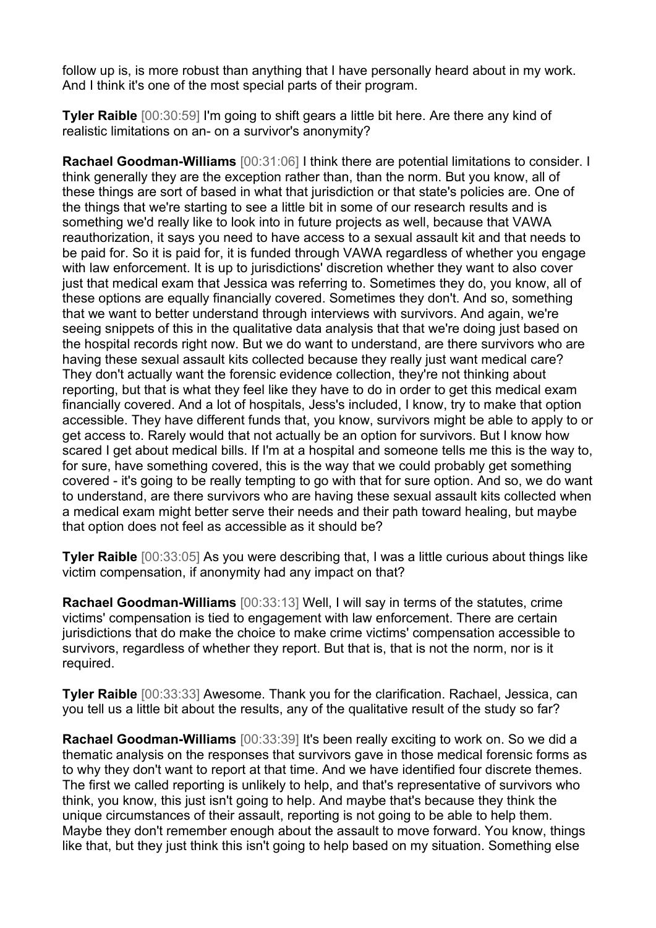follow up is, is more robust than anything that I have personally heard about in my work. And I think it's one of the most special parts of their program.

**Tyler Raible** [00:30:59] I'm going to shift gears a little bit here. Are there any kind of realistic limitations on an- on a survivor's anonymity?

**Rachael Goodman-Williams** [00:31:06] I think there are potential limitations to consider. I think generally they are the exception rather than, than the norm. But you know, all of these things are sort of based in what that jurisdiction or that state's policies are. One of the things that we're starting to see a little bit in some of our research results and is something we'd really like to look into in future projects as well, because that VAWA reauthorization, it says you need to have access to a sexual assault kit and that needs to be paid for. So it is paid for, it is funded through VAWA regardless of whether you engage with law enforcement. It is up to jurisdictions' discretion whether they want to also cover just that medical exam that Jessica was referring to. Sometimes they do, you know, all of these options are equally financially covered. Sometimes they don't. And so, something that we want to better understand through interviews with survivors. And again, we're seeing snippets of this in the qualitative data analysis that that we're doing just based on the hospital records right now. But we do want to understand, are there survivors who are having these sexual assault kits collected because they really just want medical care? They don't actually want the forensic evidence collection, they're not thinking about reporting, but that is what they feel like they have to do in order to get this medical exam financially covered. And a lot of hospitals, Jess's included, I know, try to make that option accessible. They have different funds that, you know, survivors might be able to apply to or get access to. Rarely would that not actually be an option for survivors. But I know how scared I get about medical bills. If I'm at a hospital and someone tells me this is the way to, for sure, have something covered, this is the way that we could probably get something covered - it's going to be really tempting to go with that for sure option. And so, we do want to understand, are there survivors who are having these sexual assault kits collected when a medical exam might better serve their needs and their path toward healing, but maybe that option does not feel as accessible as it should be?

**Tyler Raible** [00:33:05] As you were describing that, I was a little curious about things like victim compensation, if anonymity had any impact on that?

**Rachael Goodman-Williams** [00:33:13] Well, I will say in terms of the statutes, crime victims' compensation is tied to engagement with law enforcement. There are certain jurisdictions that do make the choice to make crime victims' compensation accessible to survivors, regardless of whether they report. But that is, that is not the norm, nor is it required.

**Tyler Raible** [00:33:33] Awesome. Thank you for the clarification. Rachael, Jessica, can you tell us a little bit about the results, any of the qualitative result of the study so far?

**Rachael Goodman-Williams** [00:33:39] It's been really exciting to work on. So we did a thematic analysis on the responses that survivors gave in those medical forensic forms as to why they don't want to report at that time. And we have identified four discrete themes. The first we called reporting is unlikely to help, and that's representative of survivors who think, you know, this just isn't going to help. And maybe that's because they think the unique circumstances of their assault, reporting is not going to be able to help them. Maybe they don't remember enough about the assault to move forward. You know, things like that, but they just think this isn't going to help based on my situation. Something else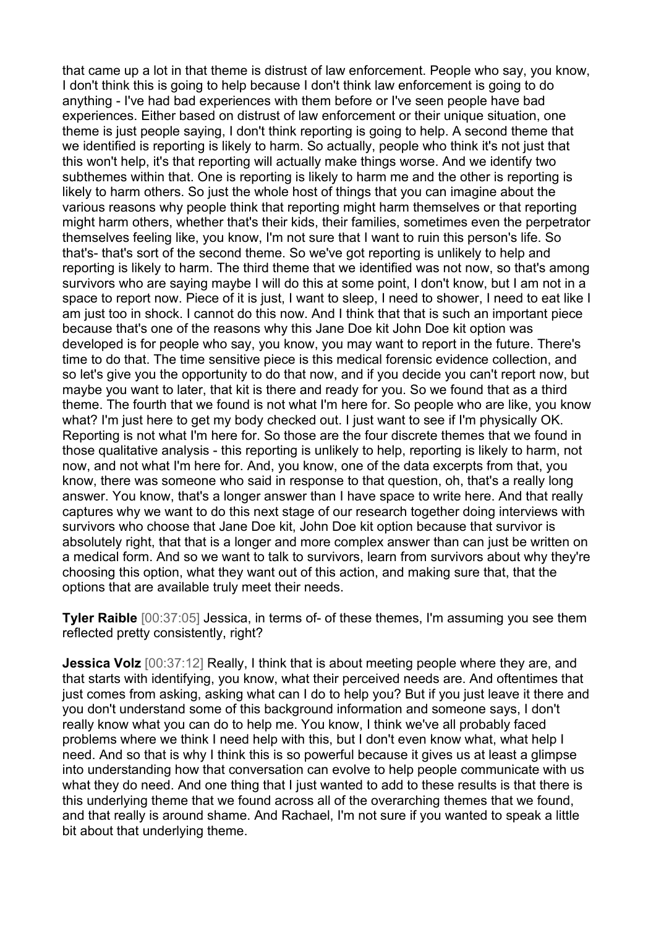that came up a lot in that theme is distrust of law enforcement. People who say, you know, I don't think this is going to help because I don't think law enforcement is going to do anything - I've had bad experiences with them before or I've seen people have bad experiences. Either based on distrust of law enforcement or their unique situation, one theme is just people saying, I don't think reporting is going to help. A second theme that we identified is reporting is likely to harm. So actually, people who think it's not just that this won't help, it's that reporting will actually make things worse. And we identify two subthemes within that. One is reporting is likely to harm me and the other is reporting is likely to harm others. So just the whole host of things that you can imagine about the various reasons why people think that reporting might harm themselves or that reporting might harm others, whether that's their kids, their families, sometimes even the perpetrator themselves feeling like, you know, I'm not sure that I want to ruin this person's life. So that's- that's sort of the second theme. So we've got reporting is unlikely to help and reporting is likely to harm. The third theme that we identified was not now, so that's among survivors who are saying maybe I will do this at some point, I don't know, but I am not in a space to report now. Piece of it is just, I want to sleep, I need to shower, I need to eat like I am just too in shock. I cannot do this now. And I think that that is such an important piece because that's one of the reasons why this Jane Doe kit John Doe kit option was developed is for people who say, you know, you may want to report in the future. There's time to do that. The time sensitive piece is this medical forensic evidence collection, and so let's give you the opportunity to do that now, and if you decide you can't report now, but maybe you want to later, that kit is there and ready for you. So we found that as a third theme. The fourth that we found is not what I'm here for. So people who are like, you know what? I'm just here to get my body checked out. I just want to see if I'm physically OK. Reporting is not what I'm here for. So those are the four discrete themes that we found in those qualitative analysis - this reporting is unlikely to help, reporting is likely to harm, not now, and not what I'm here for. And, you know, one of the data excerpts from that, you know, there was someone who said in response to that question, oh, that's a really long answer. You know, that's a longer answer than I have space to write here. And that really captures why we want to do this next stage of our research together doing interviews with survivors who choose that Jane Doe kit, John Doe kit option because that survivor is absolutely right, that that is a longer and more complex answer than can just be written on a medical form. And so we want to talk to survivors, learn from survivors about why they're choosing this option, what they want out of this action, and making sure that, that the options that are available truly meet their needs.

**Tyler Raible** [00:37:05] Jessica, in terms of- of these themes, I'm assuming you see them reflected pretty consistently, right?

**Jessica Volz** [00:37:12] Really, I think that is about meeting people where they are, and that starts with identifying, you know, what their perceived needs are. And oftentimes that just comes from asking, asking what can I do to help you? But if you just leave it there and you don't understand some of this background information and someone says, I don't really know what you can do to help me. You know, I think we've all probably faced problems where we think I need help with this, but I don't even know what, what help I need. And so that is why I think this is so powerful because it gives us at least a glimpse into understanding how that conversation can evolve to help people communicate with us what they do need. And one thing that I just wanted to add to these results is that there is this underlying theme that we found across all of the overarching themes that we found, and that really is around shame. And Rachael, I'm not sure if you wanted to speak a little bit about that underlying theme.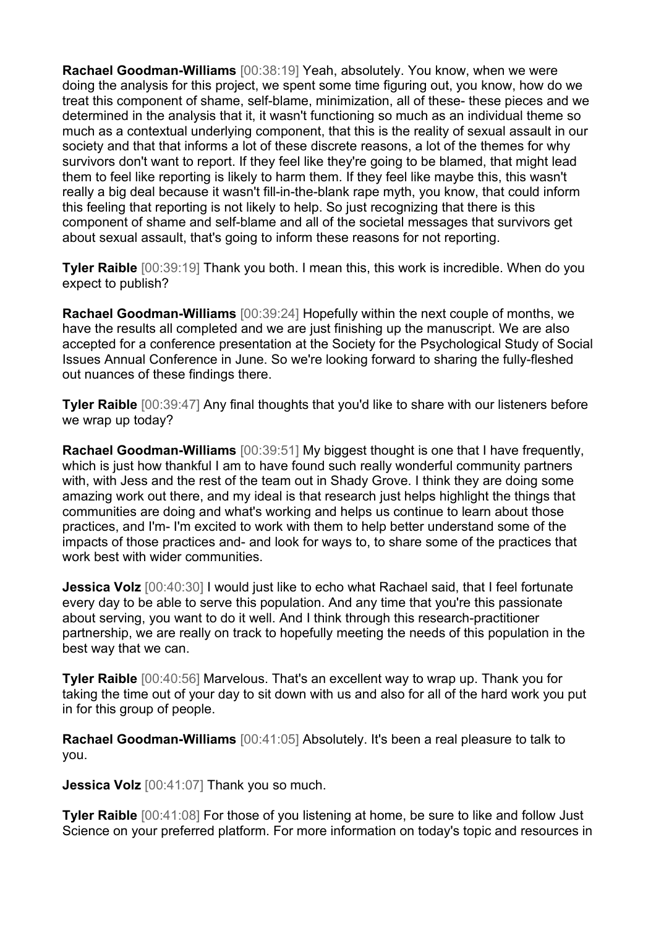**Rachael Goodman-Williams** [00:38:19] Yeah, absolutely. You know, when we were doing the analysis for this project, we spent some time figuring out, you know, how do we treat this component of shame, self-blame, minimization, all of these- these pieces and we determined in the analysis that it, it wasn't functioning so much as an individual theme so much as a contextual underlying component, that this is the reality of sexual assault in our society and that that informs a lot of these discrete reasons, a lot of the themes for why survivors don't want to report. If they feel like they're going to be blamed, that might lead them to feel like reporting is likely to harm them. If they feel like maybe this, this wasn't really a big deal because it wasn't fill-in-the-blank rape myth, you know, that could inform this feeling that reporting is not likely to help. So just recognizing that there is this component of shame and self-blame and all of the societal messages that survivors get about sexual assault, that's going to inform these reasons for not reporting.

**Tyler Raible** [00:39:19] Thank you both. I mean this, this work is incredible. When do you expect to publish?

**Rachael Goodman-Williams** [00:39:24] Hopefully within the next couple of months, we have the results all completed and we are just finishing up the manuscript. We are also accepted for a conference presentation at the Society for the Psychological Study of Social Issues Annual Conference in June. So we're looking forward to sharing the fully-fleshed out nuances of these findings there.

**Tyler Raible** [00:39:47] Any final thoughts that you'd like to share with our listeners before we wrap up today?

**Rachael Goodman-Williams** [00:39:51] My biggest thought is one that I have frequently, which is just how thankful I am to have found such really wonderful community partners with, with Jess and the rest of the team out in Shady Grove. I think they are doing some amazing work out there, and my ideal is that research just helps highlight the things that communities are doing and what's working and helps us continue to learn about those practices, and I'm- I'm excited to work with them to help better understand some of the impacts of those practices and- and look for ways to, to share some of the practices that work best with wider communities.

**Jessica Volz** [00:40:30] I would just like to echo what Rachael said, that I feel fortunate every day to be able to serve this population. And any time that you're this passionate about serving, you want to do it well. And I think through this research-practitioner partnership, we are really on track to hopefully meeting the needs of this population in the best way that we can.

**Tyler Raible** [00:40:56] Marvelous. That's an excellent way to wrap up. Thank you for taking the time out of your day to sit down with us and also for all of the hard work you put in for this group of people.

**Rachael Goodman-Williams** [00:41:05] Absolutely. It's been a real pleasure to talk to you.

**Jessica Volz** [00:41:07] Thank you so much.

**Tyler Raible** [00:41:08] For those of you listening at home, be sure to like and follow Just Science on your preferred platform. For more information on today's topic and resources in